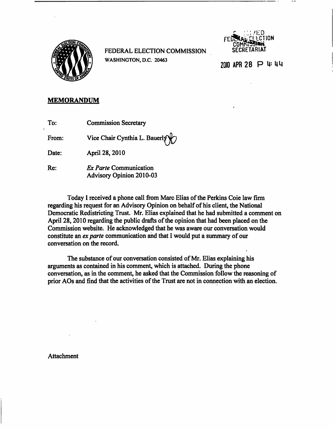

FEDERAL ELECTION COMMISSION SECRETARIAT WASHINGTON, D.C. 20463 2010 2010 APR 28 P U= 4 U



## MEMORANDUM

From: Vice Chair Cynthia L. Bauerly

Date: April 28,2010

Re: Ex Parte Communication Advisory Opinion 2010-03

Today I received a phone call from Marc Elias of the Perkins Coie law firm regarding his request for an Advisory Opinion on behalf of his client, the National Democratic Redistricting Trust. Mr. Elias explained that he had submitted a comment on April 28,2010 regarding the public drafts of the opinion that had been placed on the Commission website. He acknowledged that he was aware our conversation would constitute an ex parte communication and that I would put a summary of our conversation on the record,

The substance of our conversation consisted of Mr. Elias explaining his arguments as contained in his comment, which is attached. During the phone conversation, as in the comment, he asked that the Commission follow the reasoning of prior AOs and find that the activities of the Trust are not in connection with an election.

Attachment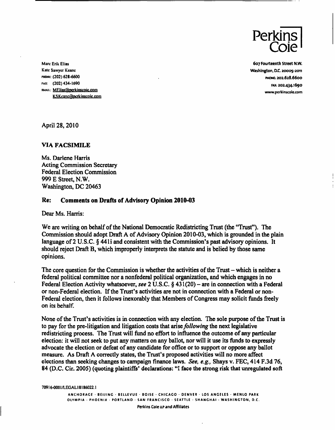

Marc Erik Elias 607 Fourteenth Street N.W. Kale Sawyer Keanc Washington, D.C. 20005-2011 PHONI:: (202) 628-6600 . PHONE: 202.628.6600 FAX: (202)434-1690 FAX: 202.434.1690 EMAIL: MElias@perkinscoie.com www.perkinscoie.com K.S.Keane@perkinscoie.com

April 28, 2010

## VIA FACSIMILE

Ms. Darlene Harris Acting Commission Secretary Federal Election Commission 999 E Street, N.W. Washington, DC 20463

## Re: Comments on Drafts of Advisory Opinion 2010-03

Dear Ms. Harris:

We are writing on behalf of the National Democratic Redistricting Trust (the "Trust"). The Commission should adopt Draft A of Advisory Opinion 2010-03, which is grounded in the plain language of 2 U.S.C. § 4411 and consistent with the Commission's past advisory opinions. It should reject Draft B, which improperly interprets the statute and is belied by those same opinions.

The core question for the Commission is whether the activities of the Trust  $-$  which is neither a federal political committee nor a nonfederal political organization, and which engages in no Federal Election Activity whatsoever, see 2 U.S.C.  $\S$  431(20) – are in connection with a Federal or non-Federal election. If the Trust's activities are not in connection with a Federal or non-Federal election, then it follows inexorably that Members of Congress may solicit funds freely on its behalf.

None of the Trust's activities is in connection with any election. The sole purpose of the Trust is to pay for the pre-litigation and litigation costs that arise *following* the next legislative redistricting process. The Trust will fund no effort to influence the outcome of any particular election: it will not seek to put any matters on any ballot, nor will it use its funds to expressly advocate the election or defeat of any candidate for office or to support or oppose any ballot measure. As Draft A correctly states, the Trust's proposed activities will no more affect elections than seeking changes to campaign finance laws. See, e.g., Shays v. FEC, 414 F.3d 76, 84 (D.C. Cir. 2005) (quoting plaintiffs' declarations: "I face the strong risk that unregulated soft

70916-000 I/LEG AL18186022.1

ANCHORAGE · BEIJING · BELLEVUE · BOISE · CHICAGO · DENVER · LOS ANGELES · MENLO PARK OLYMPIA • PHOENIX • PORTLAND • SAN FRANCISCO • SEATTLE • SHANGHAI • WASHINGTON, D.C.

Perkins Coie LIP and Affiliates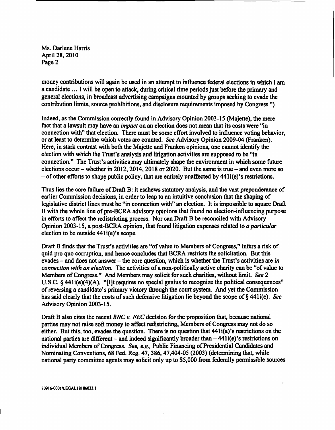Ms. Darlene Harris April 28, 2010 Page 2

money contributions will again be used in an attempt to influence federal elections in which I am a candidate ... I will be open to attack, during critical time periods just before the primary and general elections, in broadcast advertising campaigns mounted by groups seeking to evade the contribution limits, source prohibitions, and disclosure requirements imposed by Congress.")

Indeed, as the Commission correctly found in Advisory Opinion 2003-15 (Majette), the mere fact that a lawsuit may have an *impact* on an election does not mean that its costs were "in connection with" that election. There must be some effort involved to influence voting behavior, or at least to determine which votes are counted. See Advisory Opinion 2009-04 (Franken). Here, in stark contrast with both the Majette and Franken opinions, one cannot identify the election with which the Trust's analysis and litigation activities are supposed to be "in connection." The Trust's activities may ultimately shape the environment in which some future elections occur – whether in 2012, 2014, 2018 or 2020. But the same is true – and even more so - of other efforts to shape public policy, that are entirely unaffected by 441 i(e)'s restrictions.

Thus lies the core failure of Draft B: it eschews statutory analysis, and the vast preponderance of earlier Commission decisions, in order to leap to an intuitive conclusion that the shaping of legislative district lines must be "in connection with" an election. It is impossible to square Draft B with the whole line of pre-BCRA advisory opinions that found no election-influencing purpose in efforts to affect the redistricting process. Nor can Draft B be reconciled with Advisory Opinion 2003-15, a post-BCRA opinion, that found litigation expenses related to a particular election to be outside 441i(e)'s scope.

Draft B finds that the Trust's activities are "of value to Members of Congress," infers a risk of quid pro quo corruption, and hence concludes that BCRA restricts the solicitation. But this evades  $-$  and does not answer  $-$  the core question, which is whether the Trust's activities are in connection with an election. The activities of a non-politically active charity can be "of value to Members of Congress." And Members may solicit for such charities, without limit. See 2 U.S.C. § 441i(e)(4)(A). "[I]t requires no special genius to recognize the political consequences" of reversing a candidate's primary victory through the court system. And yet the Commission has said clearly that the costs of such defensive litigation lie beyond the scope of § 441i(e). See Advisory Opinion 2003-15.

Draft B also cites the recent RNC v. FEC decision for the proposition that, because national parties may not raise soft money to affect redistricting, Members of Congress may not do so either. But this, too, evades the question. There is no question that 441i(a)'s restrictions on the national parties are different – and indeed significantly broader than  $-441i(e)$ 's restrictions on individual Members of Congress. See, e.g., Public Financing of Presidential Candidates and Nominating Conventions, 68 Fed. Reg. 47, 386, 47,404-05 (2003) (determining that, while national party committee agents may solicit only up to \$5,000 from federally permissible sources